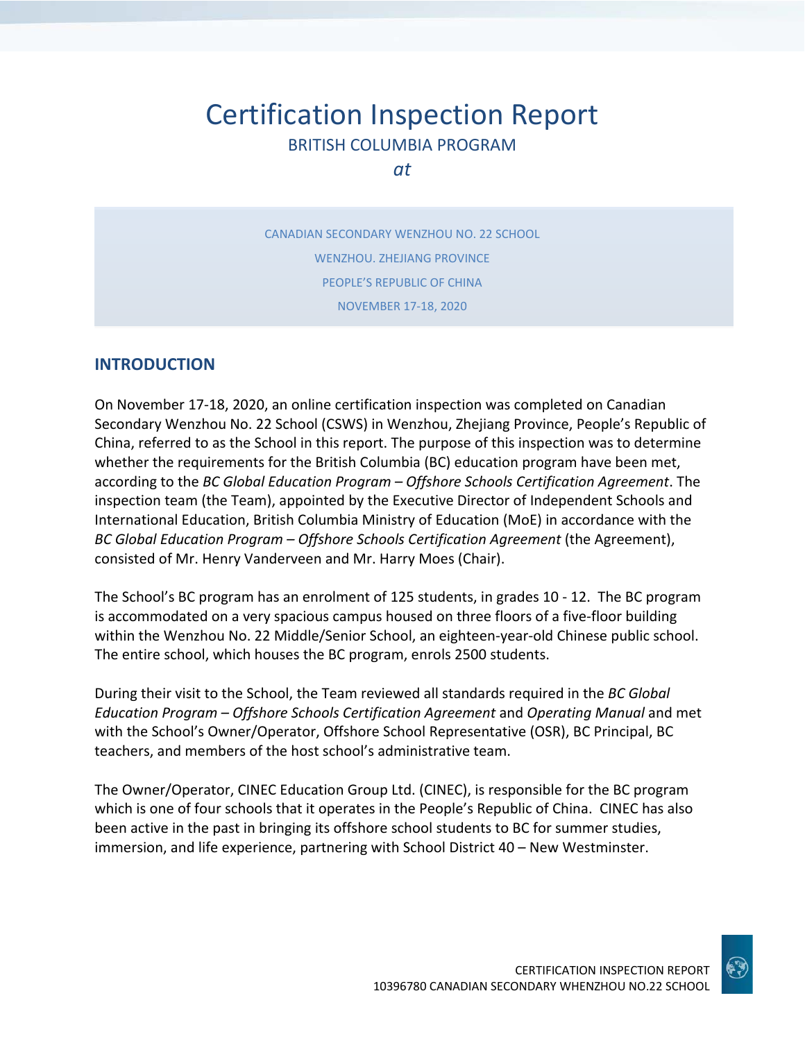# Certification Inspection Report BRITISH COLUMBIA PROGRAM

*at*

CANADIAN SECONDARY WENZHOU NO. 22 SCHOOL WENZHOU. ZHEJIANG PROVINCE PEOPLE'S REPUBLIC OF CHINA NOVEMBER 17-18, 2020

### **INTRODUCTION**

On November 17-18, 2020, an online certification inspection was completed on Canadian Secondary Wenzhou No. 22 School (CSWS) in Wenzhou, Zhejiang Province, People's Republic of China, referred to as the School in this report. The purpose of this inspection was to determine whether the requirements for the British Columbia (BC) education program have been met, according to the *BC Global Education Program – Offshore Schools Certification Agreement*. The inspection team (the Team), appointed by the Executive Director of Independent Schools and International Education, British Columbia Ministry of Education (MoE) in accordance with the *BC Global Education Program – Offshore Schools Certification Agreement* (the Agreement), consisted of Mr. Henry Vanderveen and Mr. Harry Moes (Chair).

The School's BC program has an enrolment of 125 students, in grades 10 - 12. The BC program is accommodated on a very spacious campus housed on three floors of a five-floor building within the Wenzhou No. 22 Middle/Senior School, an eighteen-year-old Chinese public school. The entire school, which houses the BC program, enrols 2500 students.

During their visit to the School, the Team reviewed all standards required in the *BC Global Education Program – Offshore Schools Certification Agreement* and *Operating Manual* and met with the School's Owner/Operator, Offshore School Representative (OSR), BC Principal, BC teachers, and members of the host school's administrative team.

The Owner/Operator, CINEC Education Group Ltd. (CINEC), is responsible for the BC program which is one of four schools that it operates in the People's Republic of China. CINEC has also been active in the past in bringing its offshore school students to BC for summer studies, immersion, and life experience, partnering with School District 40 – New Westminster.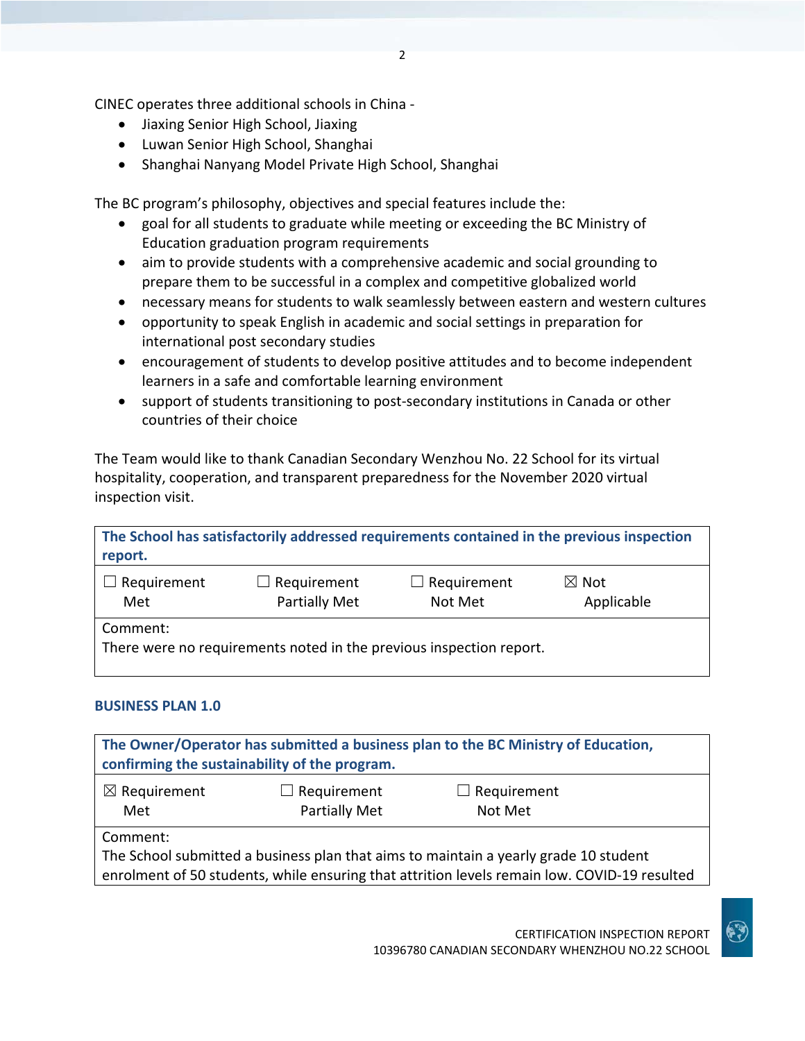CINEC operates three additional schools in China -

- Jiaxing Senior High School, Jiaxing
- Luwan Senior High School, Shanghai
- Shanghai Nanyang Model Private High School, Shanghai

The BC program's philosophy, objectives and special features include the:

- goal for all students to graduate while meeting or exceeding the BC Ministry of Education graduation program requirements
- aim to provide students with a comprehensive academic and social grounding to prepare them to be successful in a complex and competitive globalized world
- necessary means for students to walk seamlessly between eastern and western cultures
- opportunity to speak English in academic and social settings in preparation for international post secondary studies
- encouragement of students to develop positive attitudes and to become independent learners in a safe and comfortable learning environment
- support of students transitioning to post-secondary institutions in Canada or other countries of their choice

The Team would like to thank Canadian Secondary Wenzhou No. 22 School for its virtual hospitality, cooperation, and transparent preparedness for the November 2020 virtual inspection visit.

| The School has satisfactorily addressed requirements contained in the previous inspection<br>report. |                                     |                               |                               |
|------------------------------------------------------------------------------------------------------|-------------------------------------|-------------------------------|-------------------------------|
| Requirement<br>Met                                                                                   | $\Box$ Requirement<br>Partially Met | Requirement<br>r L<br>Not Met | $\boxtimes$ Not<br>Applicable |
| Comment:<br>There were no requirements noted in the previous inspection report.                      |                                     |                               |                               |

### **BUSINESS PLAN 1.0**

| The Owner/Operator has submitted a business plan to the BC Ministry of Education,<br>confirming the sustainability of the program.                                                               |  |  |  |
|--------------------------------------------------------------------------------------------------------------------------------------------------------------------------------------------------|--|--|--|
| $\boxtimes$ Requirement<br>Requirement<br>$\Box$ Requirement<br>$\perp$<br>Partially Met<br>Not Met<br>Met                                                                                       |  |  |  |
| Comment:<br>The School submitted a business plan that aims to maintain a yearly grade 10 student<br>enrolment of 50 students, while ensuring that attrition levels remain low. COVID-19 resulted |  |  |  |

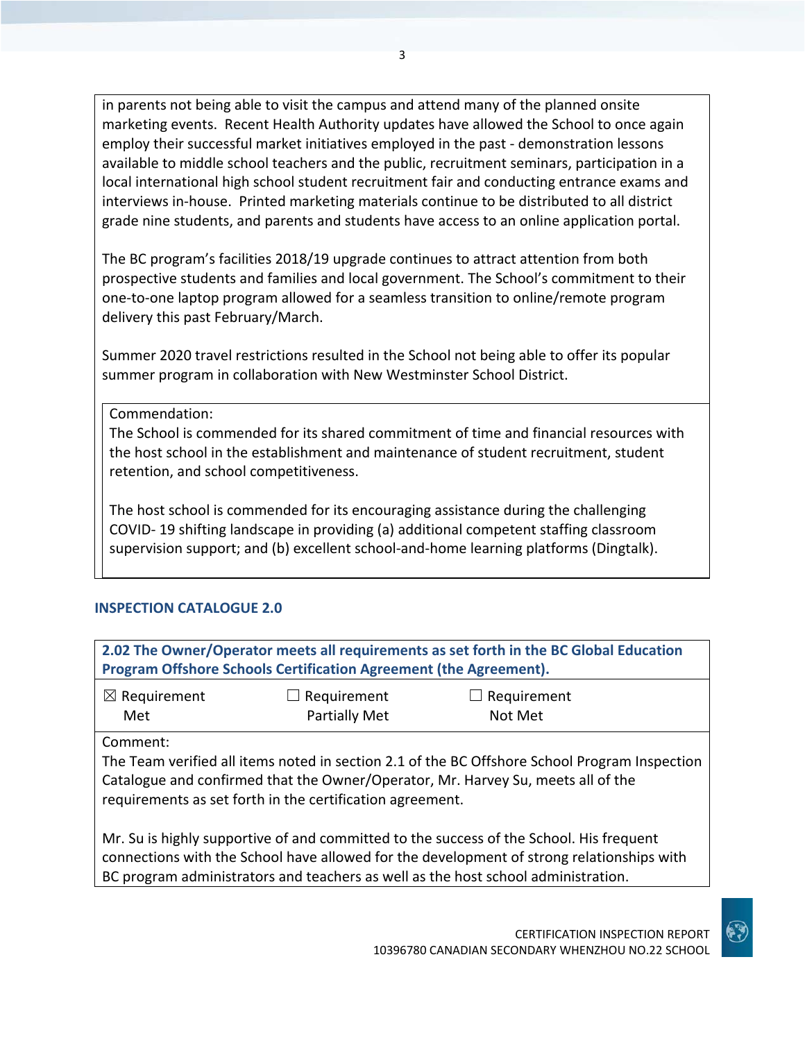in parents not being able to visit the campus and attend many of the planned onsite marketing events. Recent Health Authority updates have allowed the School to once again employ their successful market initiatives employed in the past - demonstration lessons available to middle school teachers and the public, recruitment seminars, participation in a local international high school student recruitment fair and conducting entrance exams and interviews in-house. Printed marketing materials continue to be distributed to all district grade nine students, and parents and students have access to an online application portal.

The BC program's facilities 2018/19 upgrade continues to attract attention from both prospective students and families and local government. The School's commitment to their one-to-one laptop program allowed for a seamless transition to online/remote program delivery this past February/March.

Summer 2020 travel restrictions resulted in the School not being able to offer its popular summer program in collaboration with New Westminster School District.

Commendation:

The School is commended for its shared commitment of time and financial resources with the host school in the establishment and maintenance of student recruitment, student retention, and school competitiveness.

The host school is commended for its encouraging assistance during the challenging COVID- 19 shifting landscape in providing (a) additional competent staffing classroom supervision support; and (b) excellent school-and-home learning platforms (Dingtalk).

### **INSPECTION CATALOGUE 2.0**

| 2.02 The Owner/Operator meets all requirements as set forth in the BC Global Education<br>Program Offshore Schools Certification Agreement (the Agreement).                                                                                                               |                                     |                        |  |
|---------------------------------------------------------------------------------------------------------------------------------------------------------------------------------------------------------------------------------------------------------------------------|-------------------------------------|------------------------|--|
| $\boxtimes$ Requirement<br>Met                                                                                                                                                                                                                                            | $\Box$ Requirement<br>Partially Met | Requirement<br>Not Met |  |
| Comment:<br>The Team verified all items noted in section 2.1 of the BC Offshore School Program Inspection<br>Catalogue and confirmed that the Owner/Operator, Mr. Harvey Su, meets all of the<br>requirements as set forth in the certification agreement.                |                                     |                        |  |
| Mr. Su is highly supportive of and committed to the success of the School. His frequent<br>connections with the School have allowed for the development of strong relationships with<br>BC program administrators and teachers as well as the host school administration. |                                     |                        |  |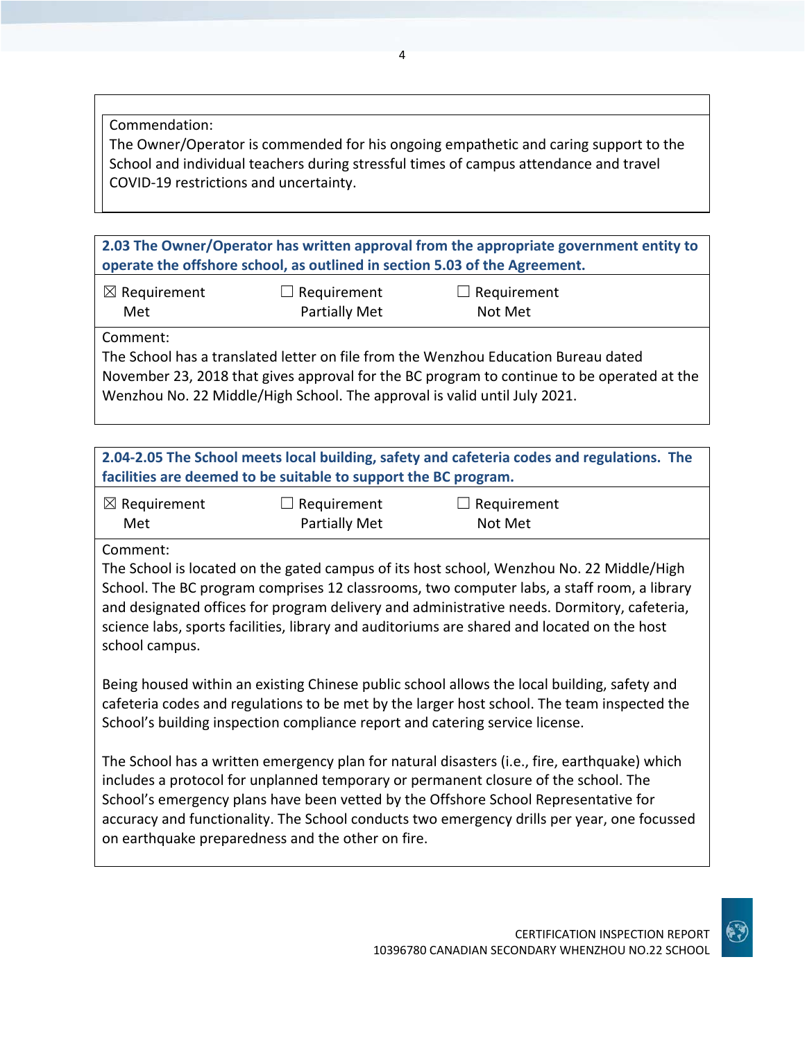Commendation:

The Owner/Operator is commended for his ongoing empathetic and caring support to the School and individual teachers during stressful times of campus attendance and travel COVID-19 restrictions and uncertainty.

**2.03 The Owner/Operator has written approval from the appropriate government entity to operate the offshore school, as outlined in section 5.03 of the Agreement.**

☒ Requirement Met ☐ Requirement Partially Met  $\Box$  Requirement Not Met

Comment:

The School has a translated letter on file from the Wenzhou Education Bureau dated November 23, 2018 that gives approval for the BC program to continue to be operated at the Wenzhou No. 22 Middle/High School. The approval is valid until July 2021.

**2.04-2.05 The School meets local building, safety and cafeteria codes and regulations. The facilities are deemed to be suitable to support the BC program.**

| $\boxtimes$ Requirement | $\Box$ Requirement   | $\Box$ Requirement |
|-------------------------|----------------------|--------------------|
| Met                     | <b>Partially Met</b> | Not Met            |

Comment:

The School is located on the gated campus of its host school, Wenzhou No. 22 Middle/High School. The BC program comprises 12 classrooms, two computer labs, a staff room, a library and designated offices for program delivery and administrative needs. Dormitory, cafeteria, science labs, sports facilities, library and auditoriums are shared and located on the host school campus.

Being housed within an existing Chinese public school allows the local building, safety and cafeteria codes and regulations to be met by the larger host school. The team inspected the School's building inspection compliance report and catering service license.

The School has a written emergency plan for natural disasters (i.e., fire, earthquake) which includes a protocol for unplanned temporary or permanent closure of the school. The School's emergency plans have been vetted by the Offshore School Representative for accuracy and functionality. The School conducts two emergency drills per year, one focussed on earthquake preparedness and the other on fire.

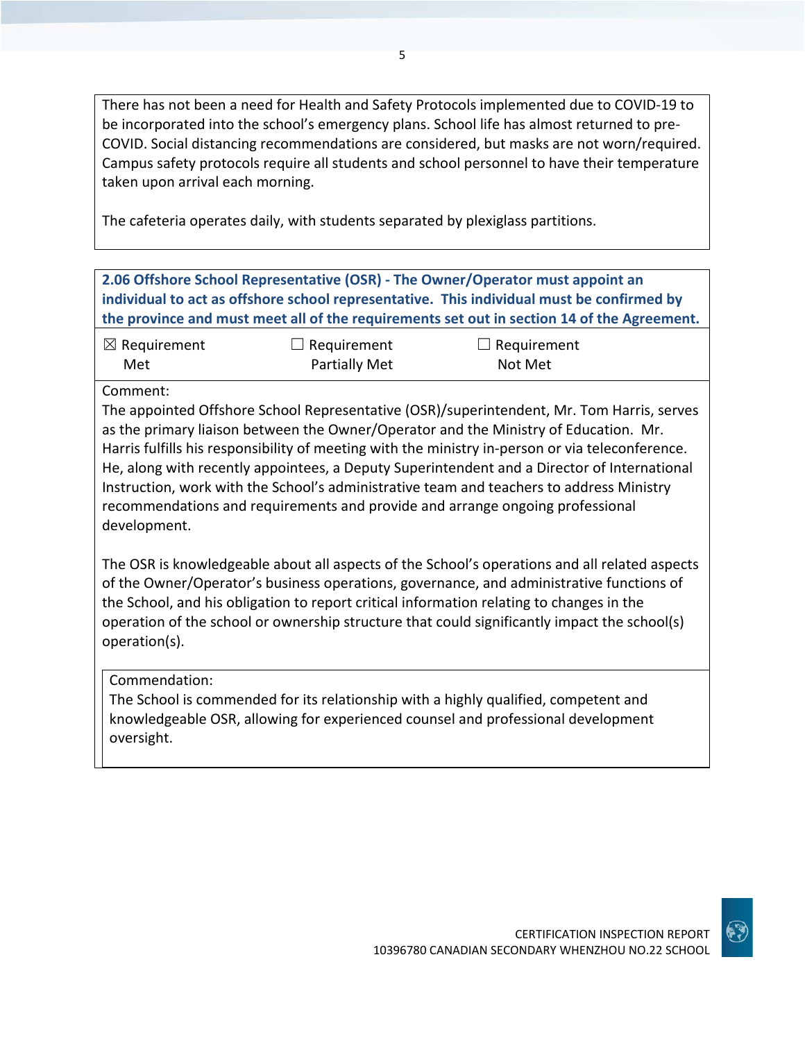There has not been a need for Health and Safety Protocols implemented due to COVID-19 to be incorporated into the school's emergency plans. School life has almost returned to pre-COVID. Social distancing recommendations are considered, but masks are not worn/required. Campus safety protocols require all students and school personnel to have their temperature taken upon arrival each morning.

The cafeteria operates daily, with students separated by plexiglass partitions.

## **2.06 Offshore School Representative (OSR) - The Owner/Operator must appoint an individual to act as offshore school representative. This individual must be confirmed by the province and must meet all of the requirements set out in section 14 of the Agreement.**

| $\boxtimes$ Requirement | $\Box$ Requirement   | $\Box$ Requirement |
|-------------------------|----------------------|--------------------|
| Met                     | <b>Partially Met</b> | Not Met            |

#### Comment:

The appointed Offshore School Representative (OSR)/superintendent, Mr. Tom Harris, serves as the primary liaison between the Owner/Operator and the Ministry of Education. Mr. Harris fulfills his responsibility of meeting with the ministry in-person or via teleconference. He, along with recently appointees, a Deputy Superintendent and a Director of International Instruction, work with the School's administrative team and teachers to address Ministry recommendations and requirements and provide and arrange ongoing professional development.

The OSR is knowledgeable about all aspects of the School's operations and all related aspects of the Owner/Operator's business operations, governance, and administrative functions of the School, and his obligation to report critical information relating to changes in the operation of the school or ownership structure that could significantly impact the school(s) operation(s).

### Commendation:

The School is commended for its relationship with a highly qualified, competent and knowledgeable OSR, allowing for experienced counsel and professional development oversight.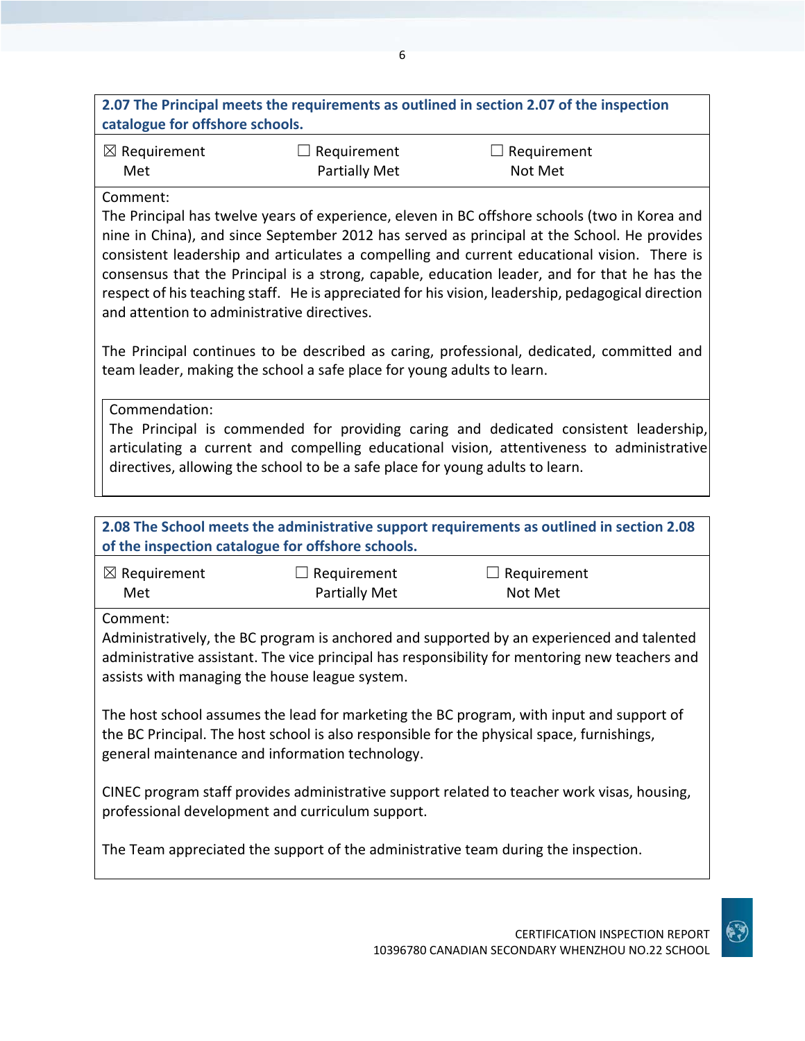**2.07 The Principal meets the requirements as outlined in section 2.07 of the inspection catalogue for offshore schools.**

| $\boxtimes$ Requirement | $\Box$ Requirement   | $\Box$ Requirement |
|-------------------------|----------------------|--------------------|
| Met                     | <b>Partially Met</b> | Not Met            |

### Comment:

The Principal has twelve years of experience, eleven in BC offshore schools (two in Korea and nine in China), and since September 2012 has served as principal at the School. He provides consistent leadership and articulates a compelling and current educational vision. There is consensus that the Principal is a strong, capable, education leader, and for that he has the respect of his teaching staff. He is appreciated for his vision, leadership, pedagogical direction and attention to administrative directives.

The Principal continues to be described as caring, professional, dedicated, committed and team leader, making the school a safe place for young adults to learn.

Commendation: The Principal is commended for providing caring and dedicated consistent leadership, articulating a current and compelling educational vision, attentiveness to administrative directives, allowing the school to be a safe place for young adults to learn.

| 2.08 The School meets the administrative support requirements as outlined in section 2.08                                                                                                                                                     |                      |             |  |
|-----------------------------------------------------------------------------------------------------------------------------------------------------------------------------------------------------------------------------------------------|----------------------|-------------|--|
| of the inspection catalogue for offshore schools.                                                                                                                                                                                             |                      |             |  |
| $\boxtimes$ Requirement                                                                                                                                                                                                                       | Requirement          | Requirement |  |
| Met                                                                                                                                                                                                                                           | <b>Partially Met</b> | Not Met     |  |
| Comment:                                                                                                                                                                                                                                      |                      |             |  |
| Administratively, the BC program is anchored and supported by an experienced and talented<br>administrative assistant. The vice principal has responsibility for mentoring new teachers and<br>assists with managing the house league system. |                      |             |  |
| The host school assumes the lead for marketing the BC program, with input and support of<br>the BC Principal. The host school is also responsible for the physical space, furnishings,<br>general maintenance and information technology.     |                      |             |  |
| CINEC program staff provides administrative support related to teacher work visas, housing,<br>professional development and curriculum support.                                                                                               |                      |             |  |

The Team appreciated the support of the administrative team during the inspection.

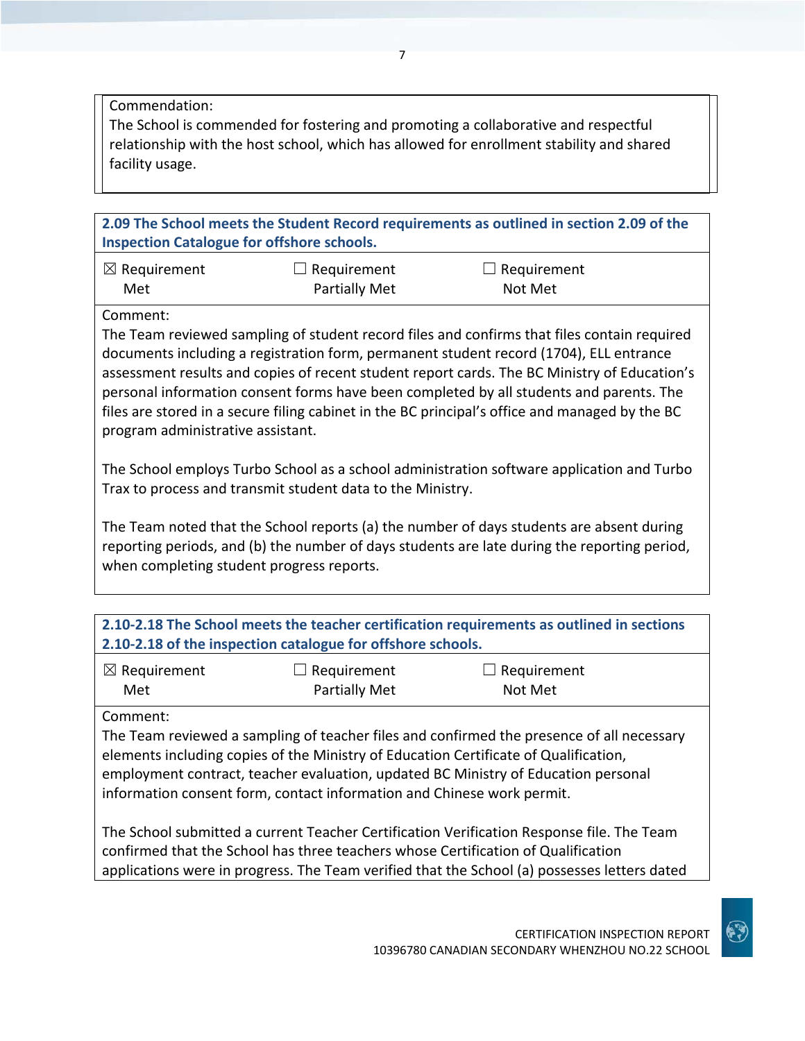Commendation:

The School is commended for fostering and promoting a collaborative and respectful relationship with the host school, which has allowed for enrollment stability and shared facility usage.

**2.09 The School meets the Student Record requirements as outlined in section 2.09 of the Inspection Catalogue for offshore schools.**

| $\boxtimes$ Requirement | $\Box$ Requirement   | $\Box$ Requirement |
|-------------------------|----------------------|--------------------|
| Met                     | <b>Partially Met</b> | Not Met            |

Comment:

The Team reviewed sampling of student record files and confirms that files contain required documents including a registration form, permanent student record (1704), ELL entrance assessment results and copies of recent student report cards. The BC Ministry of Education's personal information consent forms have been completed by all students and parents. The files are stored in a secure filing cabinet in the BC principal's office and managed by the BC program administrative assistant.

The School employs Turbo School as a school administration software application and Turbo Trax to process and transmit student data to the Ministry.

The Team noted that the School reports (a) the number of days students are absent during reporting periods, and (b) the number of days students are late during the reporting period, when completing student progress reports.

| 2.10-2.18 The School meets the teacher certification requirements as outlined in sections<br>2.10-2.18 of the inspection catalogue for offshore schools.                                                                                                                                                                                                      |  |  |  |
|---------------------------------------------------------------------------------------------------------------------------------------------------------------------------------------------------------------------------------------------------------------------------------------------------------------------------------------------------------------|--|--|--|
| $\boxtimes$ Requirement<br>Requirement<br>$\Box$ Requirement<br>$\Box$<br>Partially Met<br>Not Met<br>Met                                                                                                                                                                                                                                                     |  |  |  |
| Comment:<br>The Team reviewed a sampling of teacher files and confirmed the presence of all necessary<br>elements including copies of the Ministry of Education Certificate of Qualification,<br>employment contract, teacher evaluation, updated BC Ministry of Education personal<br>information consent form, contact information and Chinese work permit. |  |  |  |
| The School submitted a current Teacher Certification Verification Response file. The Team                                                                                                                                                                                                                                                                     |  |  |  |

confirmed that the School has three teachers whose Certification of Qualification applications were in progress. The Team verified that the School (a) possesses letters dated

CERTIFICATION INSPECTION REPORT

10396780 CANADIAN SECONDARY WHENZHOU NO.22 SCHOOL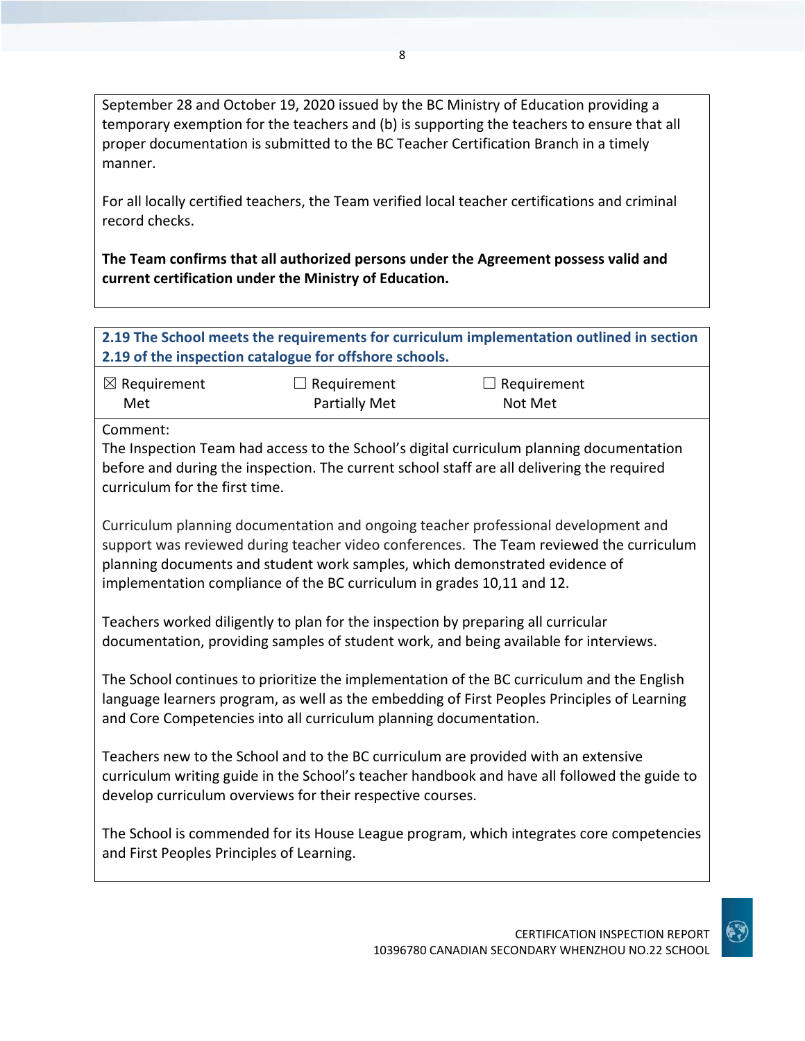September 28 and October 19, 2020 issued by the BC Ministry of Education providing a temporary exemption for the teachers and (b) is supporting the teachers to ensure that all proper documentation is submitted to the BC Teacher Certification Branch in a timely manner.

For all locally certified teachers, the Team verified local teacher certifications and criminal record checks.

**The Team confirms that all authorized persons under the Agreement possess valid and current certification under the Ministry of Education.**

| 2.19 The School meets the requirements for curriculum implementation outlined in section<br>2.19 of the inspection catalogue for offshore schools. |                                                                                   |                                                                                                                                                                                                                                                              |  |
|----------------------------------------------------------------------------------------------------------------------------------------------------|-----------------------------------------------------------------------------------|--------------------------------------------------------------------------------------------------------------------------------------------------------------------------------------------------------------------------------------------------------------|--|
| $\boxtimes$ Requirement<br>Met                                                                                                                     | $\Box$ Requirement<br><b>Partially Met</b>                                        | Requirement<br>Not Met                                                                                                                                                                                                                                       |  |
| Comment:<br>curriculum for the first time.                                                                                                         |                                                                                   | The Inspection Team had access to the School's digital curriculum planning documentation<br>before and during the inspection. The current school staff are all delivering the required                                                                       |  |
|                                                                                                                                                    | implementation compliance of the BC curriculum in grades 10,11 and 12.            | Curriculum planning documentation and ongoing teacher professional development and<br>support was reviewed during teacher video conferences. The Team reviewed the curriculum<br>planning documents and student work samples, which demonstrated evidence of |  |
|                                                                                                                                                    | Teachers worked diligently to plan for the inspection by preparing all curricular | documentation, providing samples of student work, and being available for interviews.                                                                                                                                                                        |  |
|                                                                                                                                                    | and Core Competencies into all curriculum planning documentation.                 | The School continues to prioritize the implementation of the BC curriculum and the English<br>language learners program, as well as the embedding of First Peoples Principles of Learning                                                                    |  |
|                                                                                                                                                    | develop curriculum overviews for their respective courses.                        | Teachers new to the School and to the BC curriculum are provided with an extensive<br>curriculum writing guide in the School's teacher handbook and have all followed the guide to                                                                           |  |
| and First Peoples Principles of Learning.                                                                                                          |                                                                                   | The School is commended for its House League program, which integrates core competencies                                                                                                                                                                     |  |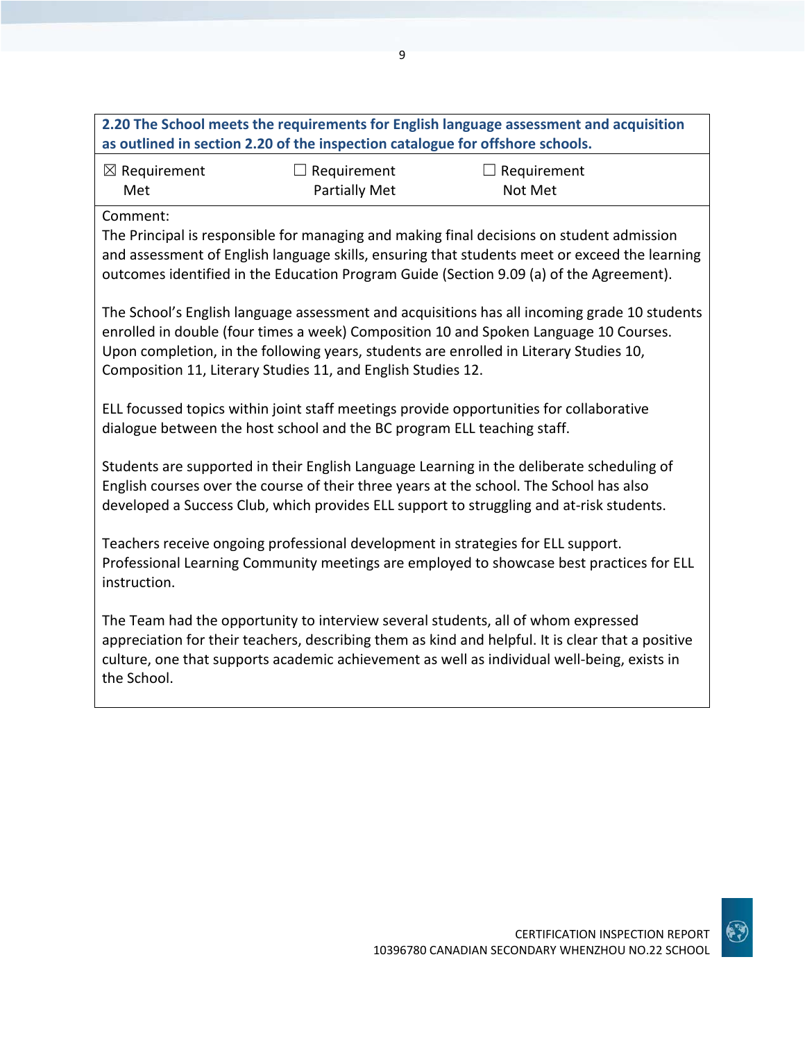|                                | as outlined in section 2.20 of the inspection catalogue for offshore schools. | 2.20 The School meets the requirements for English language assessment and acquisition                                                                                                                                                                                                |
|--------------------------------|-------------------------------------------------------------------------------|---------------------------------------------------------------------------------------------------------------------------------------------------------------------------------------------------------------------------------------------------------------------------------------|
| $\boxtimes$ Requirement<br>Met | $\Box$ Requirement<br><b>Partially Met</b>                                    | Requirement<br>Not Met                                                                                                                                                                                                                                                                |
| Comment:                       |                                                                               | The Principal is responsible for managing and making final decisions on student admission<br>and assessment of English language skills, ensuring that students meet or exceed the learning<br>outcomes identified in the Education Program Guide (Section 9.09 (a) of the Agreement). |
|                                | Composition 11, Literary Studies 11, and English Studies 12.                  | The School's English language assessment and acquisitions has all incoming grade 10 students<br>enrolled in double (four times a week) Composition 10 and Spoken Language 10 Courses.<br>Upon completion, in the following years, students are enrolled in Literary Studies 10,       |
|                                | dialogue between the host school and the BC program ELL teaching staff.       | ELL focussed topics within joint staff meetings provide opportunities for collaborative                                                                                                                                                                                               |
|                                |                                                                               | Students are supported in their English Language Learning in the deliberate scheduling of<br>English courses over the course of their three years at the school. The School has also<br>developed a Success Club, which provides ELL support to struggling and at-risk students.      |
| instruction.                   |                                                                               | Teachers receive ongoing professional development in strategies for ELL support.<br>Professional Learning Community meetings are employed to showcase best practices for ELL                                                                                                          |
| the School.                    |                                                                               | The Team had the opportunity to interview several students, all of whom expressed<br>appreciation for their teachers, describing them as kind and helpful. It is clear that a positive<br>culture, one that supports academic achievement as well as individual well-being, exists in |

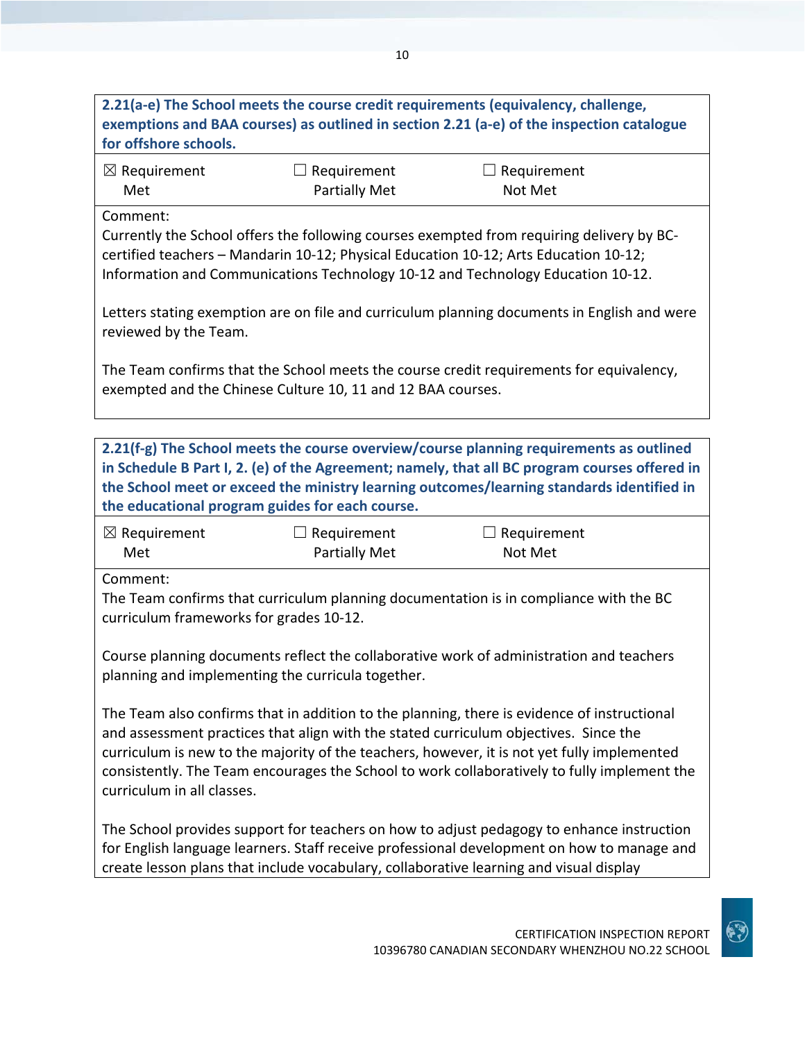# **2.21(a-e) The School meets the course credit requirements (equivalency, challenge, exemptions and BAA courses) as outlined in section 2.21 (a-e) of the inspection catalogue for offshore schools.**

| $\boxtimes$ Requirement | $\Box$ Requirement   | $\Box$ Requirement |
|-------------------------|----------------------|--------------------|
| Met                     | <b>Partially Met</b> | Not Met            |

Comment:

Currently the School offers the following courses exempted from requiring delivery by BCcertified teachers – Mandarin 10-12; Physical Education 10-12; Arts Education 10-12; Information and Communications Technology 10-12 and Technology Education 10-12.

Letters stating exemption are on file and curriculum planning documents in English and were reviewed by the Team.

The Team confirms that the School meets the course credit requirements for equivalency, exempted and the Chinese Culture 10, 11 and 12 BAA courses.

**2.21(f-g) The School meets the course overview/course planning requirements as outlined in Schedule B Part I, 2. (e) of the Agreement; namely, that all BC program courses offered in the School meet or exceed the ministry learning outcomes/learning standards identified in the educational program guides for each course.**

| $\boxtimes$ Requirement | $\Box$ Requirement   | $\Box$ Requirement |
|-------------------------|----------------------|--------------------|
| Met                     | <b>Partially Met</b> | Not Met            |

Comment:

The Team confirms that curriculum planning documentation is in compliance with the BC curriculum frameworks for grades 10-12.

Course planning documents reflect the collaborative work of administration and teachers planning and implementing the curricula together.

The Team also confirms that in addition to the planning, there is evidence of instructional and assessment practices that align with the stated curriculum objectives. Since the curriculum is new to the majority of the teachers, however, it is not yet fully implemented consistently. The Team encourages the School to work collaboratively to fully implement the curriculum in all classes.

The School provides support for teachers on how to adjust pedagogy to enhance instruction for English language learners. Staff receive professional development on how to manage and create lesson plans that include vocabulary, collaborative learning and visual display

CERTIFICATION INSPECTION REPORT

10396780 CANADIAN SECONDARY WHENZHOU NO.22 SCHOOL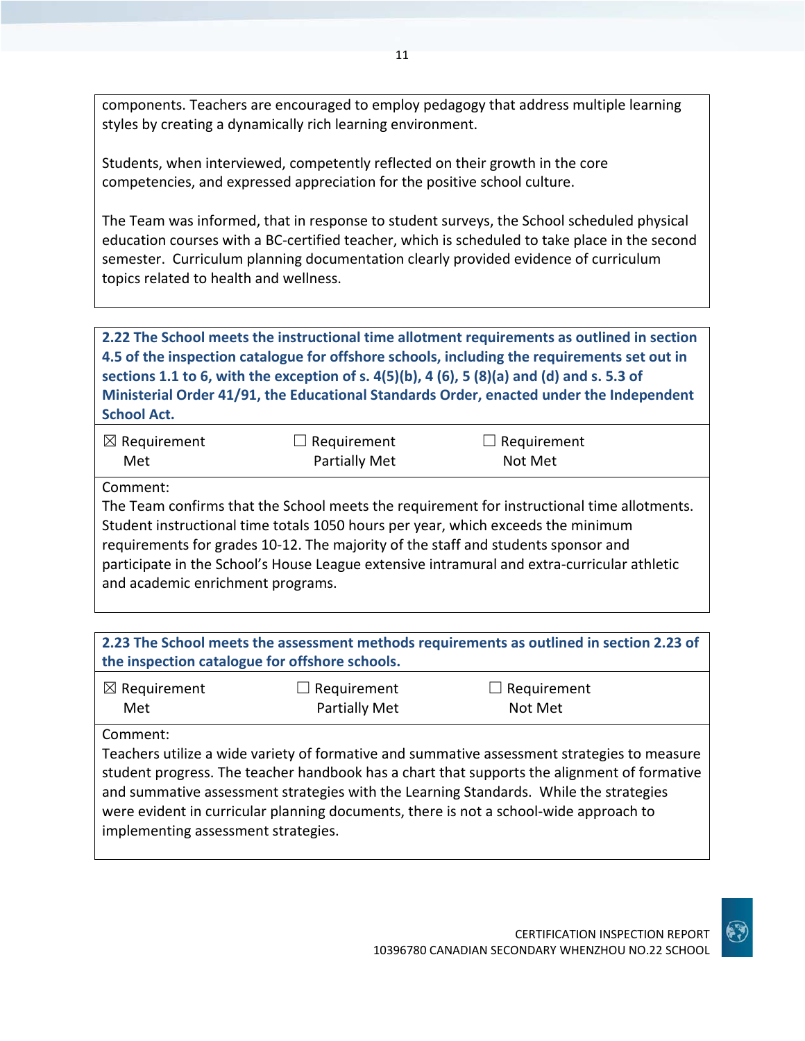components. Teachers are encouraged to employ pedagogy that address multiple learning styles by creating a dynamically rich learning environment.

Students, when interviewed, competently reflected on their growth in the core competencies, and expressed appreciation for the positive school culture.

The Team was informed, that in response to student surveys, the School scheduled physical education courses with a BC-certified teacher, which is scheduled to take place in the second semester. Curriculum planning documentation clearly provided evidence of curriculum topics related to health and wellness.

**2.22 The School meets the instructional time allotment requirements as outlined in section 4.5 of the inspection catalogue for offshore schools, including the requirements set out in sections 1.1 to 6, with the exception of s. 4(5)(b), 4 (6), 5 (8)(a) and (d) and s. 5.3 of Ministerial Order 41/91, the Educational Standards Order, enacted under the Independent School Act.**

| $\boxtimes$ Requirement | $\Box$ Requirement | $\Box$ Requirement |
|-------------------------|--------------------|--------------------|
| Met                     | Partially Met      | Not Met            |

Comment:

The Team confirms that the School meets the requirement for instructional time allotments. Student instructional time totals 1050 hours per year, which exceeds the minimum requirements for grades 10-12. The majority of the staff and students sponsor and participate in the School's House League extensive intramural and extra-curricular athletic and academic enrichment programs.

| 2.23 The School meets the assessment methods requirements as outlined in section 2.23 of<br>the inspection catalogue for offshore schools. |                              |                                                                                                                                                                                                                                                                                                                                                                              |  |
|--------------------------------------------------------------------------------------------------------------------------------------------|------------------------------|------------------------------------------------------------------------------------------------------------------------------------------------------------------------------------------------------------------------------------------------------------------------------------------------------------------------------------------------------------------------------|--|
| $\boxtimes$ Requirement<br>Met                                                                                                             | Requirement<br>Partially Met | $\Box$ Requirement<br>Not Met                                                                                                                                                                                                                                                                                                                                                |  |
| Comment:<br>implementing assessment strategies.                                                                                            |                              | Teachers utilize a wide variety of formative and summative assessment strategies to measure<br>student progress. The teacher handbook has a chart that supports the alignment of formative<br>and summative assessment strategies with the Learning Standards. While the strategies<br>were evident in curricular planning documents, there is not a school-wide approach to |  |

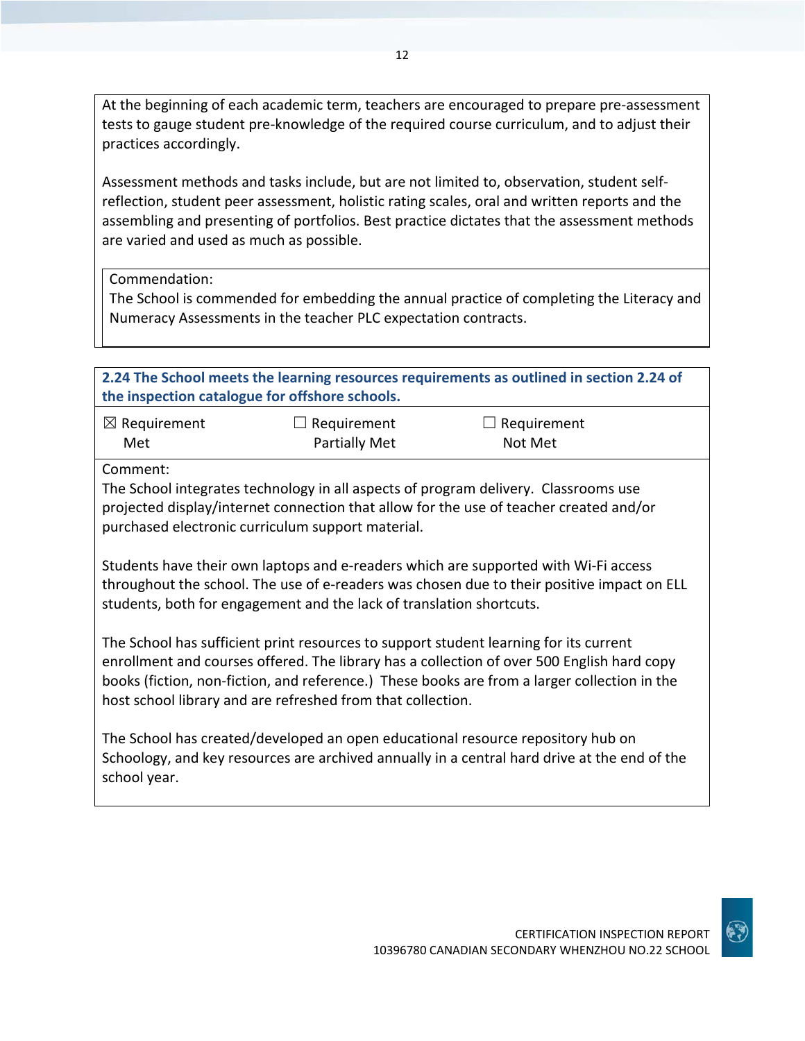At the beginning of each academic term, teachers are encouraged to prepare pre-assessment tests to gauge student pre-knowledge of the required course curriculum, and to adjust their practices accordingly.

Assessment methods and tasks include, but are not limited to, observation, student selfreflection, student peer assessment, holistic rating scales, oral and written reports and the assembling and presenting of portfolios. Best practice dictates that the assessment methods are varied and used as much as possible.

Commendation:

The School is commended for embedding the annual practice of completing the Literacy and Numeracy Assessments in the teacher PLC expectation contracts.

| 2.24 The School meets the learning resources requirements as outlined in section 2.24 of<br>the inspection catalogue for offshore schools.                                                                                                                                                                                                         |                                            |                               |  |
|----------------------------------------------------------------------------------------------------------------------------------------------------------------------------------------------------------------------------------------------------------------------------------------------------------------------------------------------------|--------------------------------------------|-------------------------------|--|
| $\boxtimes$ Requirement<br>Met                                                                                                                                                                                                                                                                                                                     | $\Box$ Requirement<br><b>Partially Met</b> | $\Box$ Requirement<br>Not Met |  |
| Comment:<br>The School integrates technology in all aspects of program delivery. Classrooms use<br>projected display/internet connection that allow for the use of teacher created and/or<br>purchased electronic curriculum support material.                                                                                                     |                                            |                               |  |
| Students have their own laptops and e-readers which are supported with Wi-Fi access<br>throughout the school. The use of e-readers was chosen due to their positive impact on ELL<br>students, both for engagement and the lack of translation shortcuts.                                                                                          |                                            |                               |  |
| The School has sufficient print resources to support student learning for its current<br>enrollment and courses offered. The library has a collection of over 500 English hard copy<br>books (fiction, non-fiction, and reference.) These books are from a larger collection in the<br>host school library and are refreshed from that collection. |                                            |                               |  |
| The School has created/developed an open educational resource repository hub on<br>Schoology, and key resources are archived annually in a central hard drive at the end of the<br>school year.                                                                                                                                                    |                                            |                               |  |

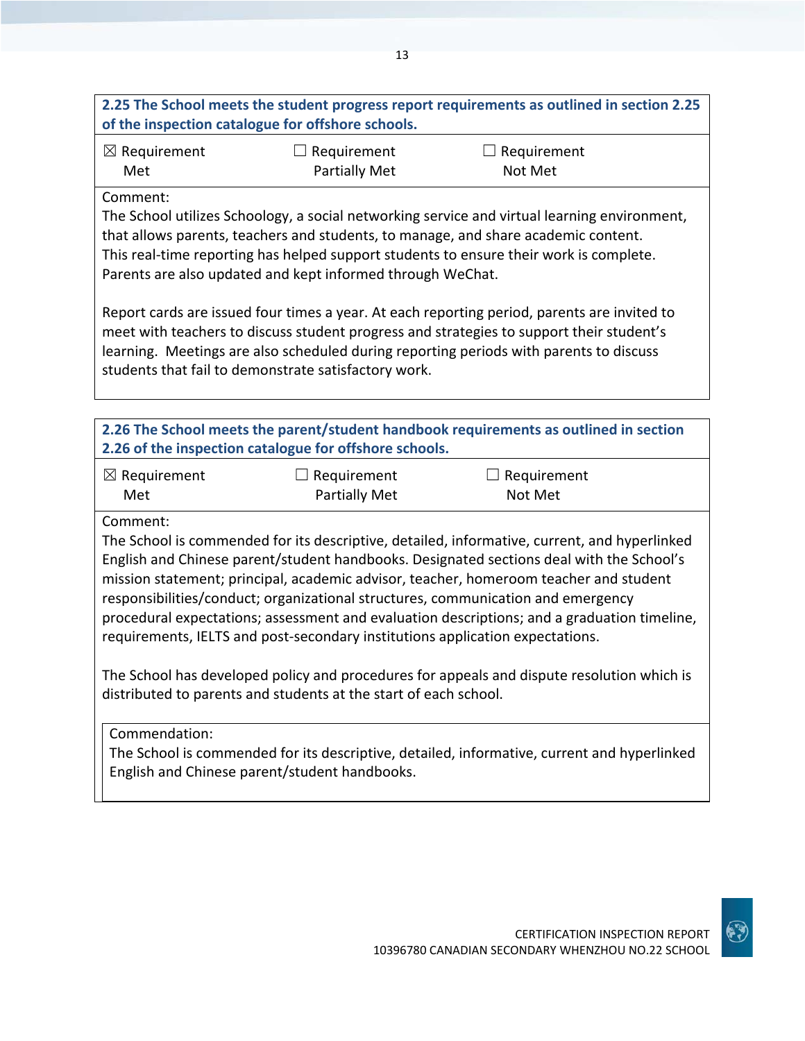## **2.25 The School meets the student progress report requirements as outlined in section 2.25 of the inspection catalogue for offshore schools.**

| $\boxtimes$ Requirement | $\Box$ Requirement   | $\Box$ Requirement |
|-------------------------|----------------------|--------------------|
| Met                     | <b>Partially Met</b> | Not Met            |

### Comment:

The School utilizes Schoology, a social networking service and virtual learning environment, that allows parents, teachers and students, to manage, and share academic content. This real-time reporting has helped support students to ensure their work is complete. Parents are also updated and kept informed through WeChat.

Report cards are issued four times a year. At each reporting period, parents are invited to meet with teachers to discuss student progress and strategies to support their student's learning. Meetings are also scheduled during reporting periods with parents to discuss students that fail to demonstrate satisfactory work.

| 2.26 The School meets the parent/student handbook requirements as outlined in section<br>2.26 of the inspection catalogue for offshore schools. |               |         |  |  |
|-------------------------------------------------------------------------------------------------------------------------------------------------|---------------|---------|--|--|
| $\boxtimes$ Requirement<br>$\Box$ Requirement<br>Requirement                                                                                    |               |         |  |  |
| Met                                                                                                                                             | Partially Met | Not Met |  |  |
| Comment:                                                                                                                                        |               |         |  |  |
| The School is commended for its descriptive, detailed, informative, current, and hyperlinked                                                    |               |         |  |  |
| English and Chinese parent/student handbooks. Designated sections deal with the School's                                                        |               |         |  |  |
| mission statement; principal, academic advisor, teacher, homeroom teacher and student                                                           |               |         |  |  |
| responsibilities/conduct; organizational structures, communication and emergency                                                                |               |         |  |  |
| aroquiral que atotique secondorant quel unique descriptions and a creduction timolino.                                                          |               |         |  |  |

procedural expectations; assessment and evaluation descriptions; and a graduation timeline, requirements, IELTS and post-secondary institutions application expectations.

The School has developed policy and procedures for appeals and dispute resolution which is distributed to parents and students at the start of each school.

Commendation:

The School is commended for its descriptive, detailed, informative, current and hyperlinked English and Chinese parent/student handbooks.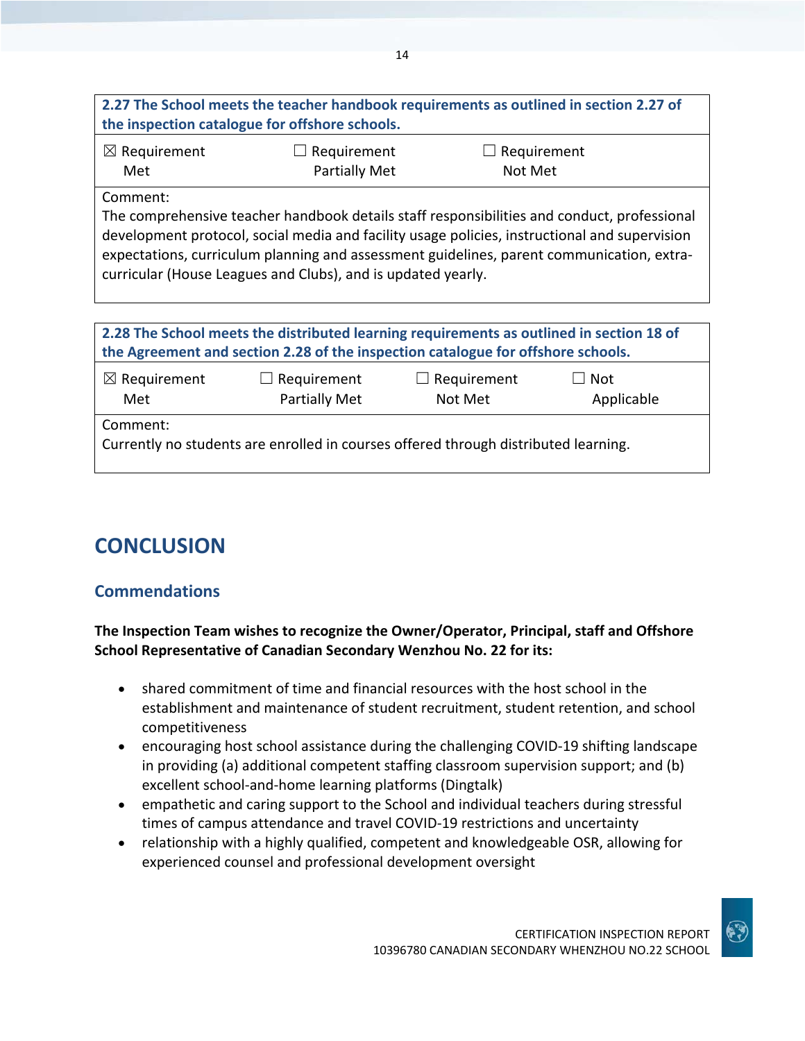| 2.27 The School meets the teacher handbook requirements as outlined in section 2.27 of |  |
|----------------------------------------------------------------------------------------|--|
| the inspection catalogue for offshore schools.                                         |  |
|                                                                                        |  |

| $\boxtimes$ Requirement | $\Box$ Requirement   | $\Box$ Requirement |
|-------------------------|----------------------|--------------------|
| Met                     | <b>Partially Met</b> | Not Met            |

Comment:

The comprehensive teacher handbook details staff responsibilities and conduct, professional development protocol, social media and facility usage policies, instructional and supervision expectations, curriculum planning and assessment guidelines, parent communication, extracurricular (House Leagues and Clubs), and is updated yearly.

| 2.28 The School meets the distributed learning requirements as outlined in section 18 of<br>the Agreement and section 2.28 of the inspection catalogue for offshore schools. |                                     |                               |                          |
|------------------------------------------------------------------------------------------------------------------------------------------------------------------------------|-------------------------------------|-------------------------------|--------------------------|
| $\boxtimes$ Requirement<br>Met                                                                                                                                               | $\Box$ Requirement<br>Partially Met | $\Box$ Requirement<br>Not Met | $\Box$ Not<br>Applicable |
| Comment:<br>Currently no students are enrolled in courses offered through distributed learning.                                                                              |                                     |                               |                          |

# **CONCLUSION**

# **Commendations**

## **The Inspection Team wishes to recognize the Owner/Operator, Principal, staff and Offshore School Representative of Canadian Secondary Wenzhou No. 22 for its:**

- shared commitment of time and financial resources with the host school in the establishment and maintenance of student recruitment, student retention, and school competitiveness
- encouraging host school assistance during the challenging COVID-19 shifting landscape in providing (a) additional competent staffing classroom supervision support; and (b) excellent school-and-home learning platforms (Dingtalk)
- empathetic and caring support to the School and individual teachers during stressful times of campus attendance and travel COVID-19 restrictions and uncertainty
- relationship with a highly qualified, competent and knowledgeable OSR, allowing for experienced counsel and professional development oversight